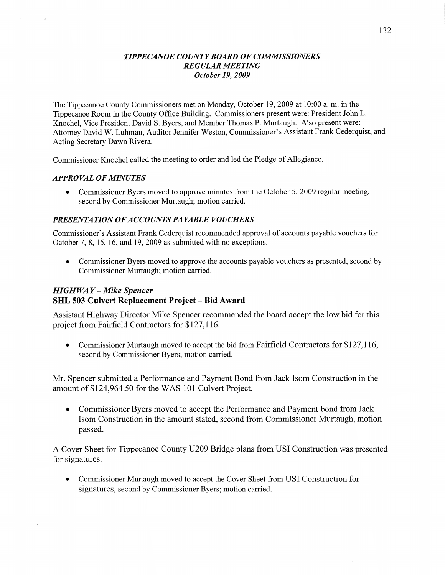## *TIPPECANOE COUNTY BOARD* OF *COMMISSIONERS REGULAR MEETING October* 19, *2009*

The Tippecanoe County Commissioners met on Monday, October 19, 2009 at 10:00 a. m. in the Tippecanoe Room in the County Office Building. Commissioners present were: President John L. Knochel, Vice President David S. Byers, and Member Thomas P. Murtaugh. Also present were: Attorney David W. Luhman, Auditor Jennifer Weston, Commissioner's Assistant Frank Cederquist, and Acting Secretary Dawn Rivera.

Commissioner Knochel called the meeting to order and led the Pledge of Allegiance.

## *APPROVAL* OF *MINUTES*

**0** Commissioner Byers moved to approve minutes from the October 5, 2009 regular meeting, second by Commissioner Murtaugh; motion carried.

## *PRESENTATION* OF *ACCOUNTS PAYABLE VOUCHERS*

Commissioner's Assistant Frank Cederquist recommended approval of accounts payable vouchers for October 7, 8, 15, 16, and 19, 2009 as submitted with no exceptions.

**0** Commissioner Byers moved to approve the accounts payable vouchers as presented, second by Commissioner Murtaugh; motion carried.

# HI *GHWA Y* **—** *Mike Spencer*  SHL 503 Culvert **Replacement Project —** Bid **Award**

Assistant Highway Director Mike Spencer recommended the board accept the low bid for this project from Fairfield Contractors for \$127,116.

**0** Commissioner Murtaugh moved to accept the bid from Fairfield Contractors for \$127,116, second by Commissioner Byers; motion carried.

Mr. Spencer submitted a Performance and Payment Bond from Jack Isom Construction in the amount of \$124,964.50 for the WAS 101 Culvert Project.

**0** Commissioner Byers moved to accept the Performance and Payment bond from Jack Isom Construction in the amount stated, second from Commissioner Murtaugh; motion passed.

A Cover Sheet for Tippecanoe County U209 Bridge plans from USI Construction was presented for signatures.

**0** Commissioner Murtaugh moved to accept the Cover Sheet from USI Construction for signatures, second by Commissioner Byers; motion carried.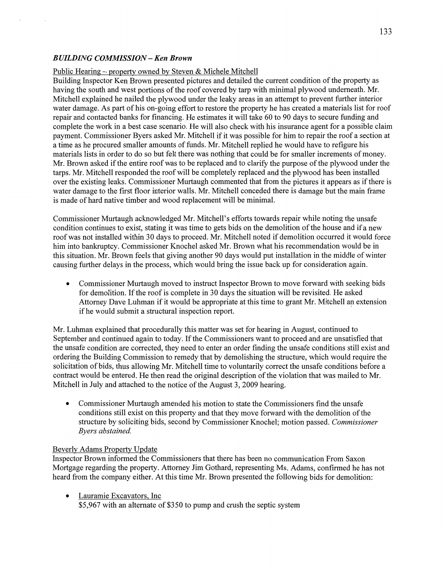### *BUILDING COMMISSION —* Ken *Brown*

#### Public Hearing — propertv owned bv Steven & Michele Mitchell

Building Inspector Ken Brown presented pictures and detailed the current condition of the property as having the south and west portions of the roof covered by tarp with minimal plywood underneath. Mr. Mitchell explained he nailed the plywood under the leaky areas in an attempt to prevent further interior water damage. As part of his on-going effort to restore the property he has created a materials list for roof repair and contacted banks for financing. He estimates it will take 60 to 90 days to secure funding and complete the work in a best case scenario. He will also check with his insurance agent for a possible claim payment. Commissioner Byers asked Mr. Mitchell if it was possible for him to repair the roof **a** section at <sup>a</sup>time as he procured smaller amounts of funds. Mr. Mitchell replied he would have to refigure his materials lists in order to do so but felt there was nothing that could be for smaller increments of money. Mr. Brown asked if the entire roof was to be replaced and to clarify the purpose of the plywood under the *'* tarps. Mr. Mitchell responded the roof will be completely replaced and the plywood has been installed over the existing leaks. Commissioner Murtaugh commented that from the pictures it appears as if there is water damage to the first floor interior walls. Mr. Mitchell conceded there is damage but the main frame is made of hard native timber and wood replacement will be minimal.

Commissioner Muttaugh acknowledged Mr. Mitchell's efforts towards repair while noting the unsafe condition continues to exist, stating it was time to gets bids on the demolition of the house and if a new roof was not installed within 30 days to proceed. Mr. Mitchell noted if demolition occurred it would force him into bankruptcy. Commissioner Knochel asked Mr. Brown what his recommendation would be in this situation. Mr. Brown feels that giving another 90 days would put installation in the middle of winter causing further delays in the process, which would bring the issue back up for consideration again.

**0** Commissioner Murtaugh moved to instruct Inspector Brown to move forward with seeking bids for demolition. If the roof is complete in 30 days the situation will be revisited. He asked Attorney Dave Luhman if it would be appropriate at this time to grant Mr. Mitchell an extension if he would submit a structural inspection report.

Mr. Luhman explained that procedurally this matter was set for hearing in August, continued to September and continued again to today. If the Commissioners want to proceed and are unsatisfied that the unsafe condition are corrected, they need to enter an order finding the unsafe conditions still exist and ordering the Building Commission to remedy that by demolishing the structure, which would require the solicitation of bids, thus allowing Mr. Mitchell time to voluntarily correct the unsafe conditions before a contract would be entered. He then read the original description of the violation that was mailed to Mr. Mitchell in July and attached to the notice of the August 3, 2009 hearing.

**0** Commissioner Muftaugh amended his motion to state the Commissioners find the unsafe conditions still exist on this property and **that** they move forward with the demolition of the structure by soliciting bids, second by Commissioner Knochel; motion passed. *Commissioner Byers abstained.* 

#### Beverlv Adams Propertv Update

Inspector Brown informed the Commissioners that there has been no communication From Saxon Mortgage regarding the property. Attorney Jim Gothard, representing Ms. Adams, confirmed he has not heard from the company either. At **this** time Mr. Brown presented the following bids for demolition:

• Lauramie Excavators, Inc \$5,967 with an alternate of \$350 to pump and crush the septic system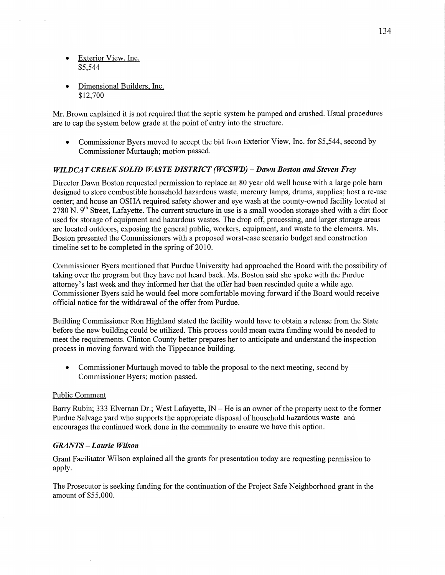- **Exterior View. Inc.** \$5,544
- **Dimensional Builders, Inc.** \$12,700

Mr. Brown explained it is not required that the septic system be pumped and crushed. Usual procedures are to cap the system below grade at the point of entry into the structure.

**0** Commissioner Byers moved to accept the bid from Exterior View, Inc. for \$5,544, second by Commissioner Murtaugh; motion passed.

## *WILDCAT CREEK SOLID WASTE DISTRICT (WCSWD)* **—** *Dawn Boston* and *Steven Frey*

Director Dawn Boston requested permission to replace an 80 year old well house with a large pole barn designed to store combustible household hazardous waste, mercury lamps, drums, supplies; host a re-use center; and house an OSHA required safety shower and eye wash at the county-owned facility located at 2780 N. 9<sup>th</sup> Street, Lafayette. The current structure in use is a small wooden storage shed with a dirt floor used for storage of equipment and hazardous wastes. The drop off, processing, and larger storage areas are located outdoors, exposing the general public, workers, equipment, and waste to the elements. Ms. Boston presented the Commissioners with a proposed worst-case scenario budget and construction timeline set to be completed in the spring of 2010.

Commissioner Byers mentioned that Purdue University had approached the Board with the possibility of taking over the program but they have not heard back. Ms. Boston said she spoke with the Purdue attorney's last **week** and they informed her that the offer had been rescinded quite a while ago. Commissioner Byers said he would feel more comfortable moving forward if the Board would receive official notice for the withdrawal of the offer from Purdue.

Building Commissioner Ron Highland stated the facility would have to obtain a release from the State before the new building could be utilized. **This** process could mean extra funding would be needed to meet the requirements. Clinton County better prepares her to anticipate and understand the inspection process in moving forward with the Tippecanoe building.

• Commissioner Murtaugh moved to table the proposal to the next meeting, second by Commissioner Byers; motion passed.

### Public Comment

Barry Rubin; 333 Elvernan Dr.; West Lafayette,  $IN - He$  is an owner of the property next to the former Purdue Salvage yard who supports the appropriate disposal of household hazardous waste and encourages the continued work done in the community to ensure we have this option.

### *GRANTS* — *Laurie Wilson*

Grant Facilitator Wilson explained all the grants for presentation today are requesting permission to apply.

The Prosecutor is seeking funding for the continuation of the Project Safe Neighborhood grant in the amount of \$55,000.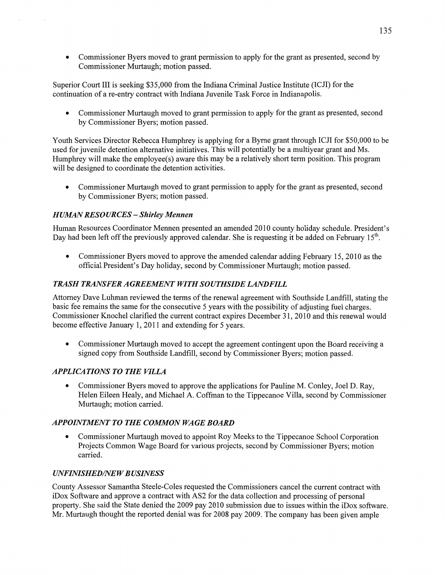**0** Commissioner Byers moved to grant permission to apply for the grant as presented, second by Commissioner Murtaugh; motion passed.

Superior Court III is seeking \$35,000 from the Indiana Criminal Justice Institute (ICJI) for the continuation of **a** re-entry contract with **Indiana** Juvenile Task Force in Indianapolis.

**0** Commissioner Murtaugh moved to grant permission to apply for the grant as presented, second by Commissioner Byers; motion passed.

Youth Services Director Rebecca Humphrey is applying for a Byme grant through ICJI for \$50,000 to be used for juvenile detention alternative initiatives. This will potentially be a multiyear grant and Ms. Humphrey Will make the employee(s) aware this may be **a** relatively short term position. This program will be designed to coordinate the detention activities.

**0** Commissioner Murtaugh moved to grant permission to apply for the grant as presented, second by Commissioner Byers; motion passed.

## *H UAMN RESO URCES* **—** *Shirley Mennen*

Human Resources Coordinator Mennen presented an amended 2010 county holiday schedule. President's Day had been left off the previously approved calendar. She is requesting it be added on February  $15<sup>th</sup>$ .

*0* Commissioner Byers moved to approve the amended calendar adding February 15, 2010 as the official President's Day holiday, second by Commissioner Murtaugh; motion passed.

## **TRASH TRANSFER AGREEMENT WITH SOUTHSIDE LANDFILL**

Attorney Dave Luhman reviewed the terms of the renewal agreement With Southside Landfill, stating the basic fee remains the same for the consecutive 5 years with the possibility of adjusting fuel charges. Commissioner Knochel clarified the current contract expires December 31, 2010 and this renewal would become effective January 1, 2011 and extending for 5 years.

• Commissioner Murtaugh moved to accept the agreement contingent upon the Board receiving a signed copy from Southside Landfill, second by Commissioner Byers; motion passed.

## **APPLICATIONS TO THE VILLA**

**<sup>0</sup>**Commissioner Byers moved to approve the applications for Pauline M. Conley, Joel D. Ray, Helen Eileen Healy, and Michael A. Coffman to the Tippecanoe Villa, second by Commissioner Murtaugh; motion carried.

## *APPOINTMENT T 0* THE *COMMON WAGE BOARD*

**<sup>0</sup>**Commissioner Murtaugh moved to appoint Roy Meeks to the Tippecanoe School Corporation Projects Common Wage Board for various projects, second by Commissioner Byers; motion carried.

## *UNFINISHED/NE W B USINESS*

County Assessor **Samantha** Steele-Coles requested the Commissioners cancel the current contract with iDox Software and approve a contract with A82 for the **data** collection and processing of persona<sup>l</sup> property. She said the State denied the 2009 pay 2010 submission due to issues within the iDox software. Mr. Murtaugh thought the reported denial was for 2008 pay 2009. The company has **been** given ample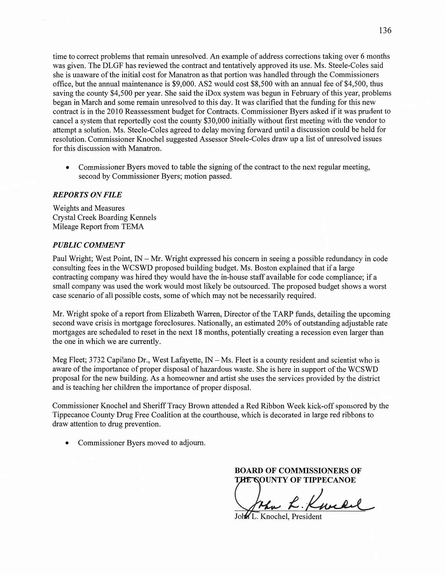time to correct problems that remain unresolved. An example of address corrections taking over 6 months was given. The DLGF has reviewed the contract and tentatively approved its use. Ms. Steele-Coles said she is unaware of the initial cost for Manatron as that portion was handled through the Commissioners office, but the annual maintenance is \$9,000. A82 would cost \$8,500 with an **annual** fee of \$4,500, thus saving the county \$4,500 per year. She said the iDox system was begun in February of **this** year, problems began in March and some remain unresolved to this day. It was clarified that the funding for this new contract is in the 2010 Reassessment budget for Contracts. Commissioner Byers asked if it was prudent to cancel a system that reportedly cost the county \$3 0,000 initially without first meeting with the vendor to attempt a solution. Ms. Steele-Coles agreed to delay moving forward until a discussion could be held for resolution. Commissioner Knochel suggested Assessor Steele-Coles draw up a list of unresolved issues for this discussion with Manatron.

**0** Commissioner Byers moved to table the signing of the contract to the next regular meeting, second by Commissioner Byers; motion passed.

### *REPORTS* ON *FILE*

Weights and Measures Crystal Creek Boarding Kennels Mileage Report from **TEMA** 

## *PUBLIC COMMENT*

Paul Wright; West Point, IN — Mr. Wright expressed his concern in seeing a possible redundancy in code consulting fees in the WCSWD proposed building budget. Ms. Boston explained that if a large contracting company was hired they would have the in-house staff available for code compliance; if a small company was used the work would most likely be outsourced. The proposed budget shows a worst case scenario of all possible costs, some of which may not be necessarily required.

Mr. Wright spoke of a report from Elizabeth Warren, Director of the TARP funds, detailing the upcoming second wave crisis in mortgage foreclosures. Nationally, an estimated 20% of outstanding adjustable rate mortgages are scheduled to reset in the **next** 18 months, potentially creating **a** recession even larger than the one in which we are currently.

Meg Fleet; 3732 Capilano Dr., West Lafayette,  $IN - Ms$ . Fleet is a county resident and scientist who is aware of the importance of proper disposal of hazardous waste. She is here in support of the WCSWD proposal for the new building. As a homeowner and artist she uses the services provided by the district and is teaching her children the importance of proper disposal.

Commissioner Knochel and Sheriff Tracy Brown attended **a** Red Ribbon Week kick-off sponsored by the Tippecanoe County Drug Free Coalition at the courthouse, which is decorated in large red ribbons to draw attention to drug prevention.

**0** Commissioner Byers moved to adjourn.

**BOARD OF COMMISSIONERS OF THE GOUNTY OF TIPPECANOE** 

up *K W* 

John L. Knochel, President